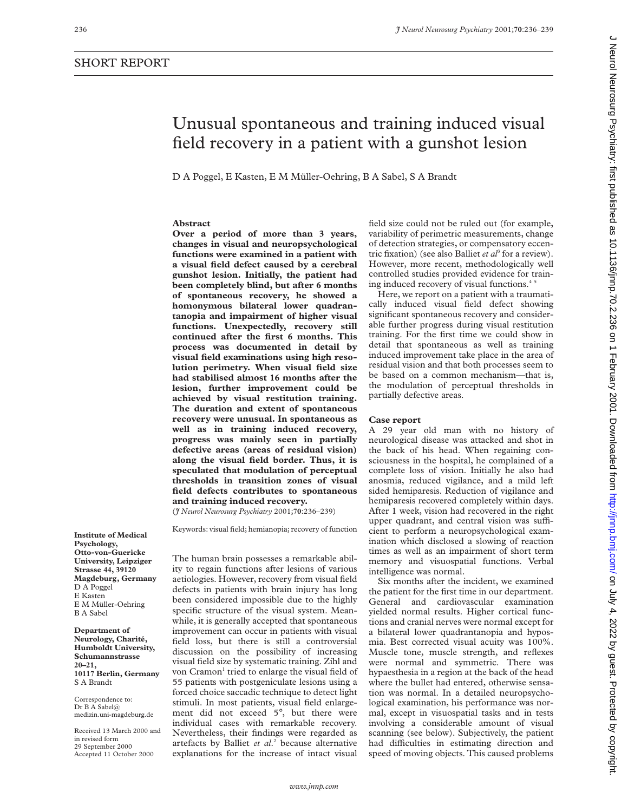**Abstract**

# Unusual spontaneous and training induced visual field recovery in a patient with a gunshot lesion D A Poggel, E Kasten, E M Müller-Oehring, B A Sabel, S A Brandt **Over a period of more than 3 years,**

**changes in visual and neuropsychological functions were examined in a patient with a visual field defect caused by a cerebral gunshot lesion. Initially, the patient had been completely blind, but after 6 months of spontaneous recovery, he showed a** field size could not be ruled out (for example, variability of perimetric measurements, change of detection strategies, or compensatory eccentric fixation) (see also Balliet *et al*<sup>3</sup> for a review). However, more recent, methodologically well controlled studies provided evidence for training induced recovery of visual functions.<sup>45</sup>

Here, we report on a patient with a traumatically induced visual field defect showing significant spontaneous recovery and considerable further progress during visual restitution training. For the first time we could show in detail that spontaneous as well as training induced improvement take place in the area of residual vision and that both processes seem to be based on a common mechanism—that is, the modulation of perceptual thresholds in partially defective areas.

# **Case report**

A 29 year old man with no history of neurological disease was attacked and shot in the back of his head. When regaining consciousness in the hospital, he complained of a complete loss of vision. Initially he also had anosmia, reduced vigilance, and a mild left sided hemiparesis. Reduction of vigilance and hemiparesis recovered completely within days. After 1 week, vision had recovered in the right upper quadrant, and central vision was sufficient to perform a neuropsychological examination which disclosed a slowing of reaction times as well as an impairment of short term memory and visuospatial functions. Verbal intelligence was normal.

Six months after the incident, we examined the patient for the first time in our department. General and cardiovascular examination yielded normal results. Higher cortical functions and cranial nerves were normal except for a bilateral lower quadrantanopia and hyposmia. Best corrected visual acuity was 100%. Muscle tone, muscle strength, and reflexes were normal and symmetric. There was hypaesthesia in a region at the back of the head where the bullet had entered, otherwise sensation was normal. In a detailed neuropsychological examination, his performance was normal, except in visuospatial tasks and in tests involving a considerable amount of visual scanning (see below). Subjectively, the patient had difficulties in estimating direction and speed of moving objects. This caused problems

**Institute of Medical Psychology, Otto-von-Guericke University, Leipziger Strasse 44, 39120 Magdeburg, Germany** D A Poggel E Kasten E M Müller-Oehring B A Sabel

**Department of Neurology, Charité, Humboldt University, Schumannstrasse 20–21, 10117 Berlin, Germany** S A Brandt

Correspondence to: Dr B A Sabel@ medizin.uni-magdeburg.de

Received 13 March 2000 and in revised form 29 September 2000 Accepted 11 October 2000

The human brain possesses a remarkable ability to regain functions after lesions of various aetiologies. However, recovery from visual field defects in patients with brain injury has long been considered impossible due to the highly specific structure of the visual system. Meanwhile, it is generally accepted that spontaneous improvement can occur in patients with visual field loss, but there is still a controversial discussion on the possibility of increasing visual field size by systematic training. Zihl and von Cramon<sup>1</sup> tried to enlarge the visual field of 55 patients with postgeniculate lesions using a forced choice saccadic technique to detect light stimuli. In most patients, visual field enlargement did not exceed 5°, but there were individual cases with remarkable recovery. Nevertheless, their findings were regarded as artefacts by Balliet *et al*. <sup>2</sup> because alternative explanations for the increase of intact visual

Keywords: visual field; hemianopia; recovery of function

**and training induced recovery.** (*J Neurol Neurosurg Psychiatry* 2001;**70**:236–239)

**homonymous bilateral lower quadrantanopia and impairment of higher visual functions. Unexpectedly, recovery still continued after the first 6 months. This process was documented in detail by visual field examinations using high resolution perimetry. When visual field size had stabilised almost 16 months after the lesion, further improvement could be achieved by visual restitution training. The duration and extent of spontaneous recovery were unusual. In spontaneous as well as in training induced recovery, progress was mainly seen in partially defective areas (areas of residual vision) along the visual field border. Thus, it is speculated that modulation of perceptual thresholds in transition zones of visual field defects contributes to spontaneous**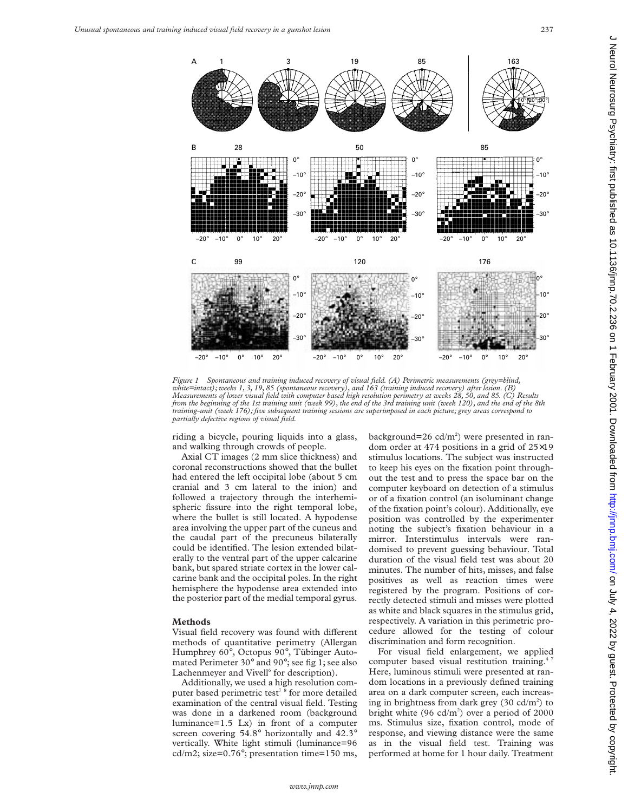

*Figure 1 Spontaneous and training induced recovery of visual field. (A) Perimetric measurements (grey=blind, white=intact); weeks 1, 3, 19, 85 (spontaneous recovery), and 163 (training induced recovery) after lesion. (B)* Measurements of lower visual field with computer based high resolution perimetry at weeks 28, 50, and 85. (C) Results<br>from the beginning of the 1st training unit (week 99), the end of the 3rd training unit (week 120), and *training-unit (week 176); five subsequent training sessions are superimposed in each picture; grey areas correspond to partially defective regions of visual field.*

riding a bicycle, pouring liquids into a glass, and walking through crowds of people.

Axial CT images (2 mm slice thickness) and coronal reconstructions showed that the bullet had entered the left occipital lobe (about 5 cm cranial and 3 cm lateral to the inion) and followed a trajectory through the interhemispheric fissure into the right temporal lobe, where the bullet is still located. A hypodense area involving the upper part of the cuneus and the caudal part of the precuneus bilaterally could be identified. The lesion extended bilaterally to the ventral part of the upper calcarine bank, but spared striate cortex in the lower calcarine bank and the occipital poles. In the right hemisphere the hypodense area extended into the posterior part of the medial temporal gyrus.

# **Methods**

Visual field recovery was found with different methods of quantitative perimetry (Allergan Humphrey 60°, Octopus 90°, Tübinger Automated Perimeter 30° and 90°; see fig 1; see also Lachenmeyer and Vivell<sup>6</sup> for description).

Additionally, we used a high resolution computer based perimetric test<sup>78</sup> for more detailed examination of the central visual field. Testing was done in a darkened room (background luminance=1.5 Lx) in front of a computer screen covering 54.8° horizontally and 42.3° vertically. White light stimuli (luminance=96 cd/m2; size=0.76°; presentation time=150 ms,

background= $26$  cd/m<sup>2</sup>) were presented in random order at 474 positions in a grid of 25×19 stimulus locations. The subject was instructed to keep his eyes on the fixation point throughout the test and to press the space bar on the computer keyboard on detection of a stimulus or of a fixation control (an isoluminant change of the fixation point's colour). Additionally, eye position was controlled by the experimenter noting the subject's fixation behaviour in a mirror. Interstimulus intervals were randomised to prevent guessing behaviour. Total duration of the visual field test was about 20 minutes. The number of hits, misses, and false positives as well as reaction times were registered by the program. Positions of correctly detected stimuli and misses were plotted as white and black squares in the stimulus grid, respectively. A variation in this perimetric procedure allowed for the testing of colour discrimination and form recognition.

For visual field enlargement, we applied computer based visual restitution training.<sup>4</sup> Here, luminous stimuli were presented at random locations in a previously defined training area on a dark computer screen, each increasing in brightness from dark grey  $(30 \text{ cd/m}^2)$  to bright white (96  $cd/m<sup>2</sup>$ ) over a period of 2000 ms. Stimulus size, fixation control, mode of response, and viewing distance were the same as in the visual field test. Training was performed at home for 1 hour daily. Treatment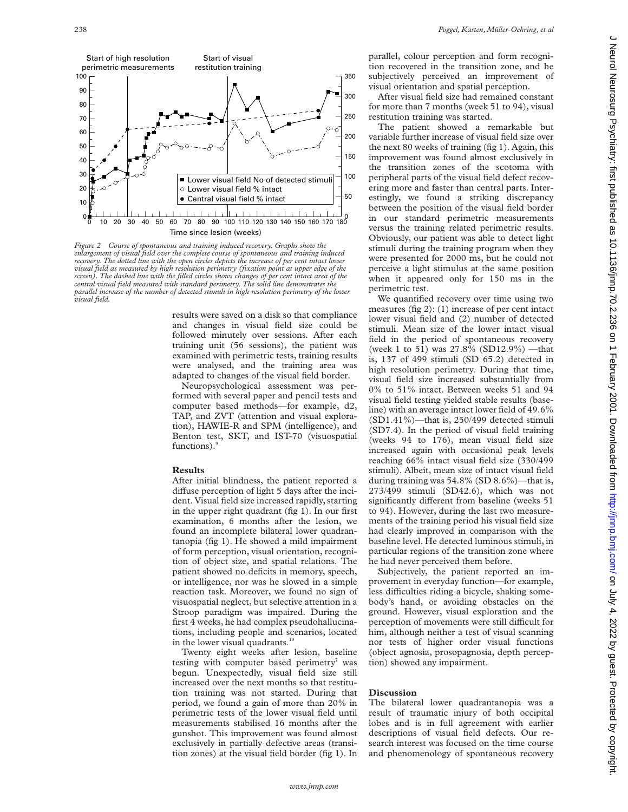

*Figure 2 Course of spontaneous and training induced recovery. Graphs show the enlargement of visual field over the complete course of spontaneous and training induced recovery. The dotted line with the open circles depicts the increase of per cent intact lower visual field as measured by high resolution perimetry (fixation point at upper edge of the screen). The dashed line with the filled circles shows changes of per cent intact area of the central visual field measured with standard perimetry. The solid line demonstrates the parallel increase of the number of detected stimuli in high resolution perimetry of the lower visual field.*

results were saved on a disk so that compliance and changes in visual field size could be followed minutely over sessions. After each training unit (56 sessions), the patient was examined with perimetric tests, training results were analysed, and the training area was adapted to changes of the visual field border.

Neuropsychological assessment was performed with several paper and pencil tests and computer based methods—for example, d2, TAP, and ZVT (attention and visual exploration), HAWIE-R and SPM (intelligence), and Benton test, SKT, and IST-70 (visuospatial functions).

### **Results**

After initial blindness, the patient reported a diffuse perception of light 5 days after the incident. Visual field size increased rapidly, starting in the upper right quadrant (fig 1). In our first examination, 6 months after the lesion, we found an incomplete bilateral lower quadrantanopia (fig 1). He showed a mild impairment of form perception, visual orientation, recognition of object size, and spatial relations. The patient showed no deficits in memory, speech, or intelligence, nor was he slowed in a simple reaction task. Moreover, we found no sign of visuospatial neglect, but selective attention in a Stroop paradigm was impaired. During the first 4 weeks, he had complex pseudohallucinations, including people and scenarios, located in the lower visual quadrants.<sup>10</sup>

Twenty eight weeks after lesion, baseline testing with computer based perimetry was begun. Unexpectedly, visual field size still increased over the next months so that restitution training was not started. During that period, we found a gain of more than 20% in perimetric tests of the lower visual field until measurements stabilised 16 months after the gunshot. This improvement was found almost exclusively in partially defective areas (transition zones) at the visual field border (fig 1). In

parallel, colour perception and form recognition recovered in the transition zone, and he subjectively perceived an improvement of visual orientation and spatial perception.

After visual field size had remained constant for more than 7 months (week 51 to 94), visual restitution training was started.

The patient showed a remarkable but variable further increase of visual field size over the next 80 weeks of training (fig 1). Again, this improvement was found almost exclusively in the transition zones of the scotoma with peripheral parts of the visual field defect recovering more and faster than central parts. Interestingly, we found a striking discrepancy between the position of the visual field border in our standard perimetric measurements versus the training related perimetric results. Obviously, our patient was able to detect light stimuli during the training program when they were presented for 2000 ms, but he could not perceive a light stimulus at the same position when it appeared only for 150 ms in the perimetric test.

We quantified recovery over time using two measures (fig 2): (1) increase of per cent intact lower visual field and (2) number of detected stimuli. Mean size of the lower intact visual field in the period of spontaneous recovery (week 1 to 51) was 27.8% (SD12.9%) —that is, 137 of 499 stimuli (SD 65.2) detected in high resolution perimetry. During that time, visual field size increased substantially from 0% to 51% intact. Between weeks 51 and 94 visual field testing yielded stable results (baseline) with an average intact lower field of 49.6% (SD1.41%)—that is, 250/499 detected stimuli (SD7.4). In the period of visual field training (weeks 94 to 176), mean visual field size increased again with occasional peak levels reaching 66% intact visual field size (330/499 stimuli). Albeit, mean size of intact visual field during training was 54.8% (SD 8.6%)—that is, 273/499 stimuli (SD42.6), which was not significantly different from baseline (weeks 51 to 94). However, during the last two measurements of the training period his visual field size had clearly improved in comparison with the baseline level. He detected luminous stimuli, in particular regions of the transition zone where he had never perceived them before.

Subjectively, the patient reported an improvement in everyday function—for example, less difficulties riding a bicycle, shaking somebody's hand, or avoiding obstacles on the ground. However, visual exploration and the perception of movements were still difficult for him, although neither a test of visual scanning nor tests of higher order visual functions (object agnosia, prosopagnosia, depth perception) showed any impairment.

### **Discussion**

The bilateral lower quadrantanopia was a result of traumatic injury of both occipital lobes and is in full agreement with earlier descriptions of visual field defects. Our research interest was focused on the time course and phenomenology of spontaneous recovery